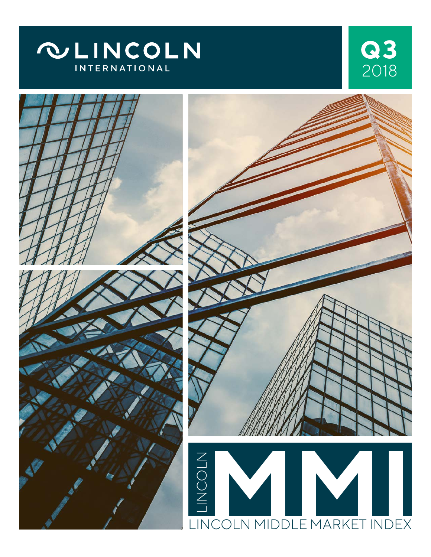





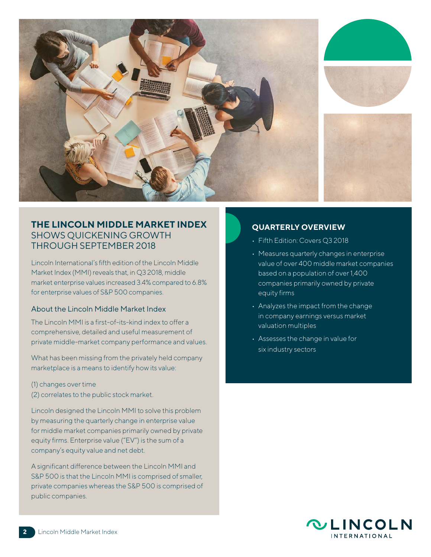

## **THE LINCOLN MIDDLE MARKET INDEX** SHOWS QUICKENING GROWTH THROUGH SEPTEMBER 2018

Lincoln International's fifth edition of the Lincoln Middle Market Index (MMI) reveals that, in Q3 2018, middle market enterprise values increased 3.4% compared to 6.8% for enterprise values of S&P 500 companies.

#### About the Lincoln Middle Market Index

The Lincoln MMI is a first-of-its-kind index to offer a comprehensive, detailed and useful measurement of private middle-market company performance and values.

What has been missing from the privately held company marketplace is a means to identify how its value:

- (1) changes over time
- (2) correlates to the public stock market.

Lincoln designed the Lincoln MMI to solve this problem by measuring the quarterly change in enterprise value for middle market companies primarily owned by private equity firms. Enterprise value ("EV") is the sum of a company's equity value and net debt.

A significant difference between the Lincoln MMI and S&P 500 is that the Lincoln MMI is comprised of smaller, private companies whereas the S&P 500 is comprised of public companies.

#### **QUARTERLY OVERVIEW**

- Fifth Edition: Covers Q3 2018
- Measures quarterly changes in enterprise value of over 400 middle market companies based on a population of over 1,400 companies primarily owned by private equity firms
- Analyzes the impact from the change in company earnings versus market valuation multiples
- Assesses the change in value for six industry sectors

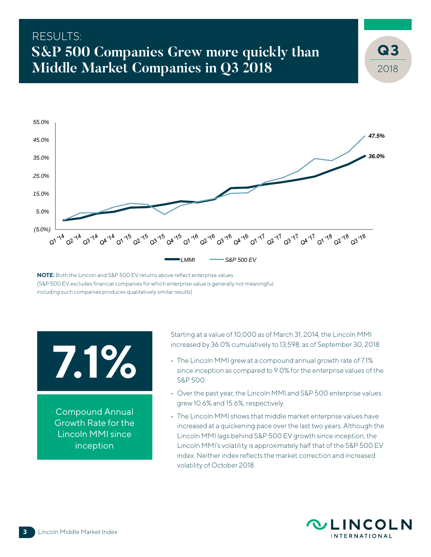# RESULTS: **S&P 500 Companies Grew more quickly than Middle Market Companies in Q3 2018**



**NOTE:** Both the Lincoln and S&P 500 EV returns above reflect enterprise values (S&P 500 EV excludes financial companies for which enterprise value is generally not meaningful; including such companies produces qualitatively similar results)

# **7.1%**

Compound Annual Growth Rate for the Lincoln MMI since inception

Starting at a value of 10,000 as of March 31, 2014, the Lincoln MMI increased by 36.0% cumulatively to 13,598, as of September 30, 2018.

- The Lincoln MMI grew at a compound annual growth rate of 7.1% since inception as compared to 9.0% for the enterprise values of the S&P 500.
- Over the past year, the Lincoln MMI and S&P 500 enterprise values grew 10.6% and 15.6%, respectively.
- The Lincoln MMI shows that middle market enterprise values have increased at a quickening pace over the last two years. Although the Lincoln MMI lags behind S&P 500 EV growth since inception, the Lincoln MMI's volatility is approximately half that of the S&P 500 EV index. Neither index reflects the market correction and increased volatility of October 2018.



2018

**3**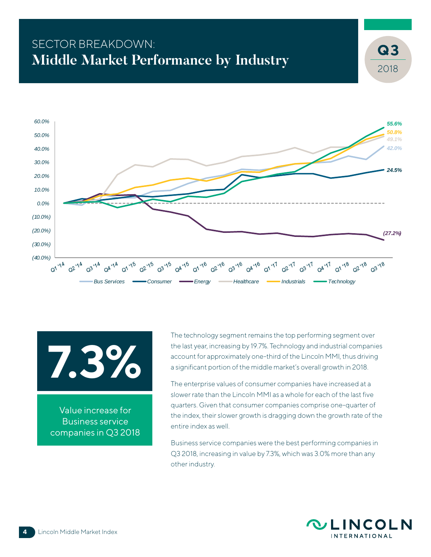# SECTOR BREAKDOWN: **Middle Market Performance by Industry**





Value increase for Business service companies in Q3 2018 The technology segment remains the top performing segment over the last year, increasing by 19.7%. Technology and industrial companies account for approximately one-third of the Lincoln MMI, thus driving a significant portion of the middle market's overall growth in 2018.

The enterprise values of consumer companies have increased at a slower rate than the Lincoln MMI as a whole for each of the last five quarters. Given that consumer companies comprise one-quarter of the index, their slower growth is dragging down the growth rate of the entire index as well.

Business service companies were the best performing companies in Q3 2018, increasing in value by 7.3%, which was 3.0% more than any other industry.



2018

**3**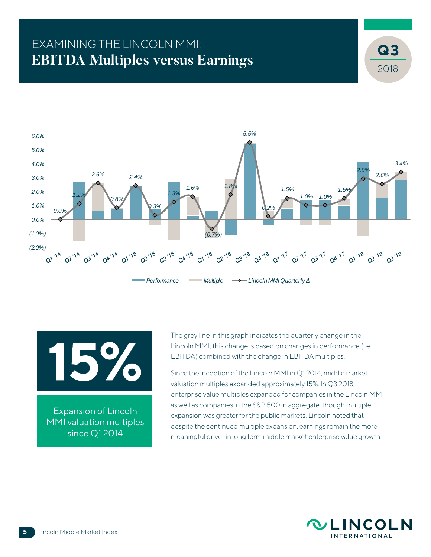# EXAMINING THE LINCOLN MMI: **EBITDA Multiples versus Earnings**





Expansion of Lincoln MMI valuation multiples since Q1 2014

The grey line in this graph indicates the quarterly change in the Lincoln MMI; this change is based on changes in performance (i.e., EBITDA) combined with the change in EBITDA multiples.

Since the inception of the Lincoln MMI in Q1 2014, middle market valuation multiples expanded approximately 15%. In Q3 2018, enterprise value multiples expanded for companies in the Lincoln MMI as well as companies in the S&P 500 in aggregate, though multiple expansion was greater for the public markets. Lincoln noted that despite the continued multiple expansion, earnings remain the more meaningful driver in long term middle market enterprise value growth.



2018

**3**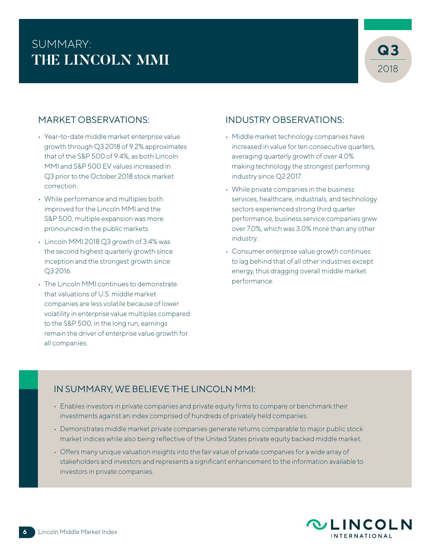# SUMMARY: **THE LINCOLN MMI**



### MARKET OBSERVATIONS:

- Year-to-date middle market enterprise value growth through Q3 2018 of 9.2% approximates that of the S&P 500 of 9.4%, as both Lincoln MMI and S&P 500 EV values increased in Q3 prior to the October 2018 stock market correction.
- While performance and multiples both improved for the Lincoln MMI and the S&P 500, multiple expansion was more pronounced in the public markets.
- Lincoln MMI 2018 Q3 growth of 3.4% was the second highest quarterly growth since inception and the strongest growth since Q3 2016.
- The Lincoln MMI continues to demonstrate that valuations of U.S. middle market companies are less volatile because of lower volatility in enterprise value multiples compared to the S&P 500; in the long run, earnings remain the driver of enterprise value growth for all companies.

### INDUSTRY OBSERVATIONS:

- Middle market technology companies have increased in value for ten consecutive quarters, averaging quarterly growth of over 4.0% making technology the strongest performing industry since Q2 2017.
- While private companies in the business services, healthcare, industrials, and technology sectors experienced strong third quarter performance, business service companies grew over 7.0%, which was 3.0% more than any other industry.
- Consumer enterprise value growth continues to lag behind that of all other industries except energy, thus dragging overall middle market performance.

## IN SUMMARY, WE BELIEVE THE LINCOLN MMI:

- Enables investors in private companies and private equity firms to compare or benchmark their investments against an index comprised of hundreds of privately held companies.
- Demonstrates middle market private companies generate returns comparable to major public stock market indices while also being reflective of the United States private equity backed middle market.
- Offers many unique valuation insights into the fair value of private companies for a wide array of stakeholders and investors and represents a significant enhancement to the information available to investors in private companies.

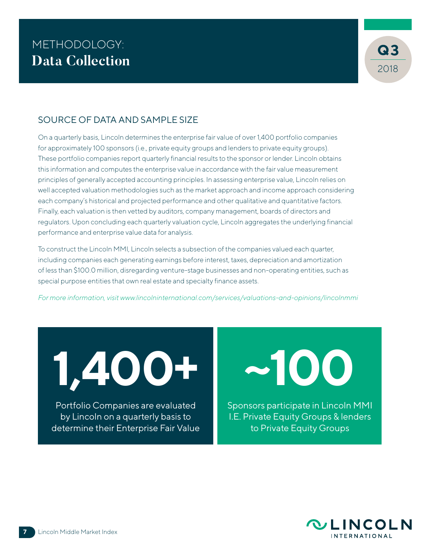

### SOURCE OF DATA AND SAMPLE SIZE

On a quarterly basis, Lincoln determines the enterprise fair value of over 1,400 portfolio companies for approximately 100 sponsors (i.e., private equity groups and lenders to private equity groups). These portfolio companies report quarterly financial results to the sponsor or lender. Lincoln obtains this information and computes the enterprise value in accordance with the fair value measurement principles of generally accepted accounting principles. In assessing enterprise value, Lincoln relies on well accepted valuation methodologies such as the market approach and income approach considering each company's historical and projected performance and other qualitative and quantitative factors. Finally, each valuation is then vetted by auditors, company management, boards of directors and regulators. Upon concluding each quarterly valuation cycle, Lincoln aggregates the underlying financial performance and enterprise value data for analysis.

To construct the Lincoln MMI, Lincoln selects a subsection of the companies valued each quarter, including companies each generating earnings before interest, taxes, depreciation and amortization of less than \$100.0 million, disregarding venture-stage businesses and non-operating entities, such as special purpose entities that own real estate and specialty finance assets.

*For more information, visit www.lincolninternational.com/services/valuations-and-opinions/lincolnmmi*

**1,400+ ~100**

Portfolio Companies are evaluated by Lincoln on a quarterly basis to determine their Enterprise Fair Value

Sponsors participate in Lincoln MMI I.E. Private Equity Groups & lenders to Private Equity Groups

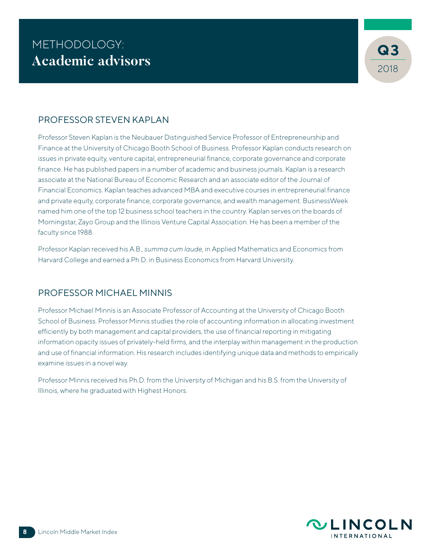### PROFESSOR STEVEN KAPLAN

Professor Steven Kaplan is the Neubauer Distinguished Service Professor of Entrepreneurship and Finance at the University of Chicago Booth School of Business. Professor Kaplan conducts research on issues in private equity, venture capital, entrepreneurial finance, corporate governance and corporate finance. He has published papers in a number of academic and business journals. Kaplan is a research associate at the National Bureau of Economic Research and an associate editor of the Journal of Financial Economics. Kaplan teaches advanced MBA and executive courses in entrepreneurial finance and private equity, corporate finance, corporate governance, and wealth management. BusinessWeek named him one of the top 12 business school teachers in the country. Kaplan serves on the boards of Morningstar, Zayo Group and the Illinois Venture Capital Association. He has been a member of the faculty since 1988.

Professor Kaplan received his A.B., *summa cum laude*, in Applied Mathematics and Economics from Harvard College and earned a Ph.D. in Business Economics from Harvard University.

## PROFESSOR MICHAEL MINNIS

Professor Michael Minnis is an Associate Professor of Accounting at the University of Chicago Booth School of Business. Professor Minnis studies the role of accounting information in allocating investment efficiently by both management and capital providers, the use of financial reporting in mitigating information opacity issues of privately-held firms, and the interplay within management in the production and use of financial information. His research includes identifying unique data and methods to empirically examine issues in a novel way.

Professor Minnis received his Ph.D. from the University of Michigan and his B.S. from the University of Illinois, where he graduated with Highest Honors.